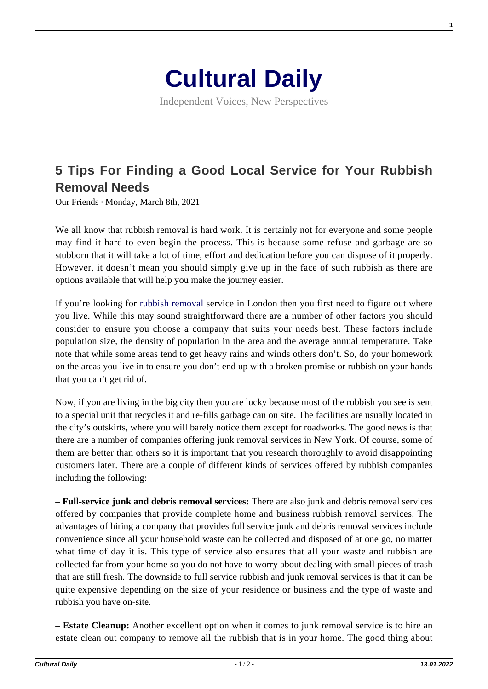

Independent Voices, New Perspectives

## **[5 Tips For Finding a Good Local Service for Your Rubbish](https://culturaldaily.com/5-tips-for-finding-a-good-local-service-for-your-rubbish-removal-needs/) [Removal Needs](https://culturaldaily.com/5-tips-for-finding-a-good-local-service-for-your-rubbish-removal-needs/)**

Our Friends · Monday, March 8th, 2021

We all know that rubbish removal is hard work. It is certainly not for everyone and some people may find it hard to even begin the process. This is because some refuse and garbage are so stubborn that it will take a lot of time, effort and dedication before you can dispose of it properly. However, it doesn't mean you should simply give up in the face of such rubbish as there are options available that will help you make the journey easier.

If you're looking for [rubbish removal](https://www.litta.co/) service in London then you first need to figure out where you live. While this may sound straightforward there are a number of other factors you should consider to ensure you choose a company that suits your needs best. These factors include population size, the density of population in the area and the average annual temperature. Take note that while some areas tend to get heavy rains and winds others don't. So, do your homework on the areas you live in to ensure you don't end up with a broken promise or rubbish on your hands that you can't get rid of.

Now, if you are living in the big city then you are lucky because most of the rubbish you see is sent to a special unit that recycles it and re-fills garbage can on site. The facilities are usually located in the city's outskirts, where you will barely notice them except for roadworks. The good news is that there are a number of companies offering junk removal services in New York. Of course, some of them are better than others so it is important that you research thoroughly to avoid disappointing customers later. There are a couple of different kinds of services offered by rubbish companies including the following:

**– Full-service junk and debris removal services:** There are also junk and debris removal services offered by companies that provide complete home and business rubbish removal services. The advantages of hiring a company that provides full service junk and debris removal services include convenience since all your household waste can be collected and disposed of at one go, no matter what time of day it is. This type of service also ensures that all your waste and rubbish are collected far from your home so you do not have to worry about dealing with small pieces of trash that are still fresh. The downside to full service rubbish and junk removal services is that it can be quite expensive depending on the size of your residence or business and the type of waste and rubbish you have on-site.

**– Estate Cleanup:** Another excellent option when it comes to junk removal service is to hire an estate clean out company to remove all the rubbish that is in your home. The good thing about **1**